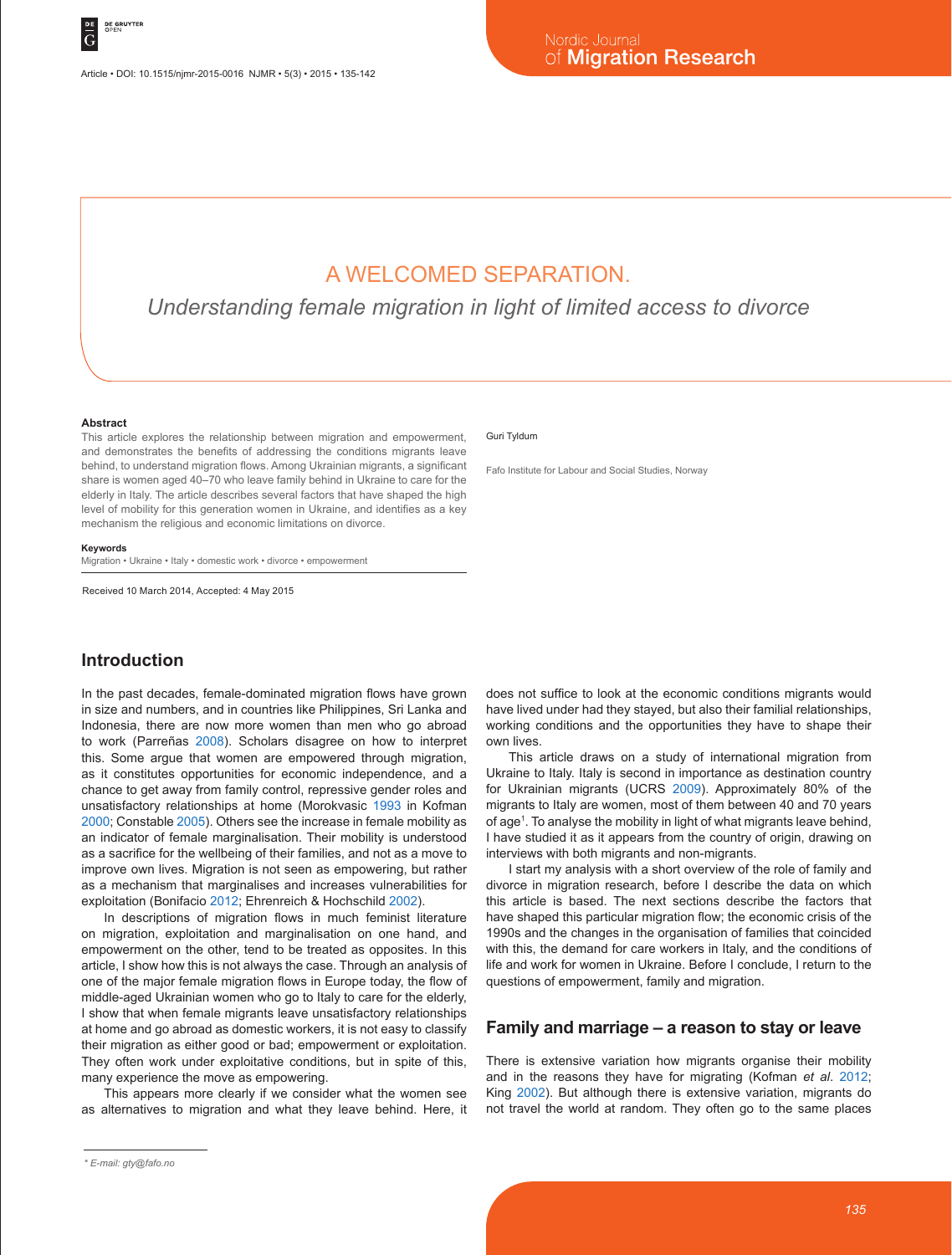# A WELCOMED SEPARATION.

*Understanding female migration in light of limited access to divorce*

#### **Abstract**

This article explores the relationship between migration and empowerment, and demonstrates the benefits of addressing the conditions migrants leave behind, to understand migration flows. Among Ukrainian migrants, a significant share is women aged 40–70 who leave family behind in Ukraine to care for the elderly in Italy. The article describes several factors that have shaped the high level of mobility for this generation women in Ukraine, and identifies as a key mechanism the religious and economic limitations on divorce.

#### **Keywords**

Migration • Ukraine • Italy • domestic work • divorce • empowerment

Received 10 March 2014, Accepted: 4 May 2015

#### **Introduction**

In the past decades, female-dominated migration flows have grown in size and numbers, and in countries like Philippines, Sri Lanka and Indonesia, there are now more women than men who go abroad to work (Parreñas 2008). Scholars disagree on how to interpret this. Some argue that women are empowered through migration, as it constitutes opportunities for economic independence, and a chance to get away from family control, repressive gender roles and unsatisfactory relationships at home (Morokvasic 1993 in Kofman 2000; Constable 2005). Others see the increase in female mobility as an indicator of female marginalisation. Their mobility is understood as a sacrifice for the wellbeing of their families, and not as a move to improve own lives. Migration is not seen as empowering, but rather as a mechanism that marginalises and increases vulnerabilities for exploitation (Bonifacio 2012; Ehrenreich & Hochschild 2002).

In descriptions of migration flows in much feminist literature on migration, exploitation and marginalisation on one hand, and empowerment on the other, tend to be treated as opposites. In this article, I show how this is not always the case. Through an analysis of one of the major female migration flows in Europe today, the flow of middle-aged Ukrainian women who go to Italy to care for the elderly, I show that when female migrants leave unsatisfactory relationships at home and go abroad as domestic workers, it is not easy to classify their migration as either good or bad; empowerment or exploitation. They often work under exploitative conditions, but in spite of this, many experience the move as empowering.

This appears more clearly if we consider what the women see as alternatives to migration and what they leave behind. Here, it

#### Guri Tyldum

Fafo Institute for Labour and Social Studies, Norway

does not suffice to look at the economic conditions migrants would have lived under had they stayed, but also their familial relationships, working conditions and the opportunities they have to shape their own lives.

This article draws on a study of international migration from Ukraine to Italy. Italy is second in importance as destination country for Ukrainian migrants (UCRS 2009). Approximately 80% of the migrants to Italy are women, most of them between 40 and 70 years of age1 . To analyse the mobility in light of what migrants leave behind, I have studied it as it appears from the country of origin, drawing on interviews with both migrants and non-migrants.

I start my analysis with a short overview of the role of family and divorce in migration research, before I describe the data on which this article is based. The next sections describe the factors that have shaped this particular migration flow; the economic crisis of the 1990s and the changes in the organisation of families that coincided with this, the demand for care workers in Italy, and the conditions of life and work for women in Ukraine. Before I conclude, I return to the questions of empowerment, family and migration.

#### **Family and marriage – a reason to stay or leave**

There is extensive variation how migrants organise their mobility and in the reasons they have for migrating (Kofman *et al*. 2012; King 2002). But although there is extensive variation, migrants do not travel the world at random. They often go to the same places

*<sup>\*</sup> E-mail: gty@fafo.no*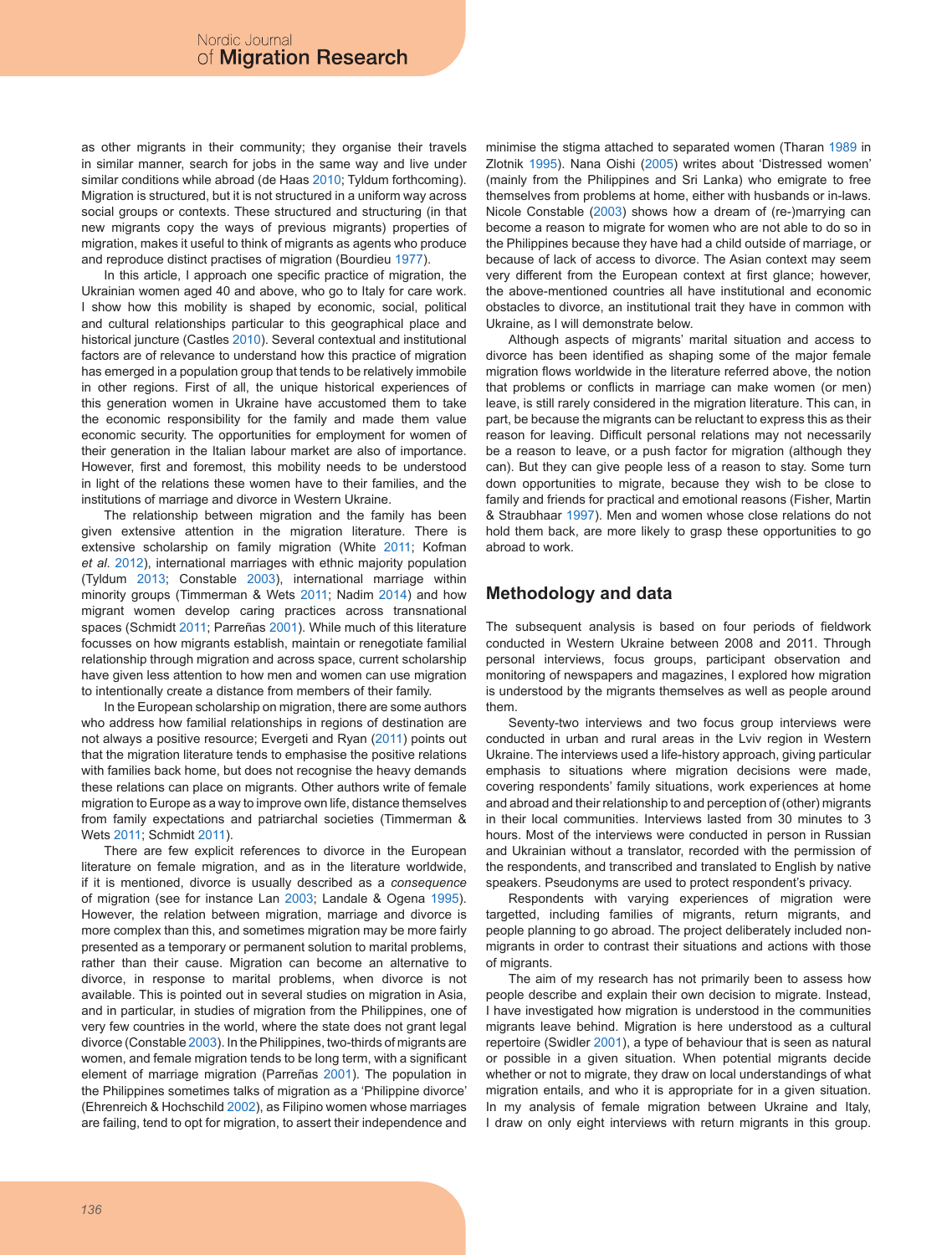as other migrants in their community; they organise their travels in similar manner, search for jobs in the same way and live under similar conditions while abroad (de Haas 2010; Tyldum forthcoming). Migration is structured, but it is not structured in a uniform way across social groups or contexts. These structured and structuring (in that new migrants copy the ways of previous migrants) properties of migration, makes it useful to think of migrants as agents who produce and reproduce distinct practises of migration (Bourdieu 1977).

In this article, I approach one specific practice of migration, the Ukrainian women aged 40 and above, who go to Italy for care work. I show how this mobility is shaped by economic, social, political and cultural relationships particular to this geographical place and historical juncture (Castles 2010). Several contextual and institutional factors are of relevance to understand how this practice of migration has emerged in a population group that tends to be relatively immobile in other regions. First of all, the unique historical experiences of this generation women in Ukraine have accustomed them to take the economic responsibility for the family and made them value economic security. The opportunities for employment for women of their generation in the Italian labour market are also of importance. However, first and foremost, this mobility needs to be understood in light of the relations these women have to their families, and the institutions of marriage and divorce in Western Ukraine.

The relationship between migration and the family has been given extensive attention in the migration literature. There is extensive scholarship on family migration (White 2011; Kofman *et al*. 2012), international marriages with ethnic majority population (Tyldum 2013; Constable 2003), international marriage within minority groups (Timmerman & Wets 2011; Nadim 2014) and how migrant women develop caring practices across transnational spaces (Schmidt 2011; Parreñas 2001). While much of this literature focusses on how migrants establish, maintain or renegotiate familial relationship through migration and across space, current scholarship have given less attention to how men and women can use migration to intentionally create a distance from members of their family.

In the European scholarship on migration, there are some authors who address how familial relationships in regions of destination are not always a positive resource; Evergeti and Ryan (2011) points out that the migration literature tends to emphasise the positive relations with families back home, but does not recognise the heavy demands these relations can place on migrants. Other authors write of female migration to Europe as a way to improve own life, distance themselves from family expectations and patriarchal societies (Timmerman & Wets 2011; Schmidt 2011).

There are few explicit references to divorce in the European literature on female migration, and as in the literature worldwide, if it is mentioned, divorce is usually described as a *consequence* of migration (see for instance Lan 2003; Landale & Ogena 1995). However, the relation between migration, marriage and divorce is more complex than this, and sometimes migration may be more fairly presented as a temporary or permanent solution to marital problems, rather than their cause. Migration can become an alternative to divorce, in response to marital problems, when divorce is not available. This is pointed out in several studies on migration in Asia, and in particular, in studies of migration from the Philippines, one of very few countries in the world, where the state does not grant legal divorce (Constable 2003). In the Philippines, two-thirds of migrants are women, and female migration tends to be long term, with a significant element of marriage migration (Parreñas 2001). The population in the Philippines sometimes talks of migration as a 'Philippine divorce' (Ehrenreich & Hochschild 2002), as Filipino women whose marriages are failing, tend to opt for migration, to assert their independence and

minimise the stigma attached to separated women (Tharan 1989 in Zlotnik 1995). Nana Oishi (2005) writes about 'Distressed women' (mainly from the Philippines and Sri Lanka) who emigrate to free themselves from problems at home, either with husbands or in-laws. Nicole Constable (2003) shows how a dream of (re-)marrying can become a reason to migrate for women who are not able to do so in the Philippines because they have had a child outside of marriage, or because of lack of access to divorce. The Asian context may seem very different from the European context at first glance; however, the above-mentioned countries all have institutional and economic obstacles to divorce, an institutional trait they have in common with Ukraine, as I will demonstrate below.

Although aspects of migrants' marital situation and access to divorce has been identified as shaping some of the major female migration flows worldwide in the literature referred above, the notion that problems or conflicts in marriage can make women (or men) leave, is still rarely considered in the migration literature. This can, in part, be because the migrants can be reluctant to express this as their reason for leaving. Difficult personal relations may not necessarily be a reason to leave, or a push factor for migration (although they can). But they can give people less of a reason to stay. Some turn down opportunities to migrate, because they wish to be close to family and friends for practical and emotional reasons (Fisher, Martin & Straubhaar 1997). Men and women whose close relations do not hold them back, are more likely to grasp these opportunities to go abroad to work.

## **Methodology and data**

The subsequent analysis is based on four periods of fieldwork conducted in Western Ukraine between 2008 and 2011. Through personal interviews, focus groups, participant observation and monitoring of newspapers and magazines, I explored how migration is understood by the migrants themselves as well as people around them.

Seventy-two interviews and two focus group interviews were conducted in urban and rural areas in the Lviv region in Western Ukraine. The interviews used a life-history approach, giving particular emphasis to situations where migration decisions were made, covering respondents' family situations, work experiences at home and abroad and their relationship to and perception of (other) migrants in their local communities. Interviews lasted from 30 minutes to 3 hours. Most of the interviews were conducted in person in Russian and Ukrainian without a translator, recorded with the permission of the respondents, and transcribed and translated to English by native speakers. Pseudonyms are used to protect respondent's privacy.

Respondents with varying experiences of migration were targetted, including families of migrants, return migrants, and people planning to go abroad. The project deliberately included nonmigrants in order to contrast their situations and actions with those of migrants.

The aim of my research has not primarily been to assess how people describe and explain their own decision to migrate. Instead, I have investigated how migration is understood in the communities migrants leave behind. Migration is here understood as a cultural repertoire (Swidler 2001), a type of behaviour that is seen as natural or possible in a given situation. When potential migrants decide whether or not to migrate, they draw on local understandings of what migration entails, and who it is appropriate for in a given situation. In my analysis of female migration between Ukraine and Italy, I draw on only eight interviews with return migrants in this group.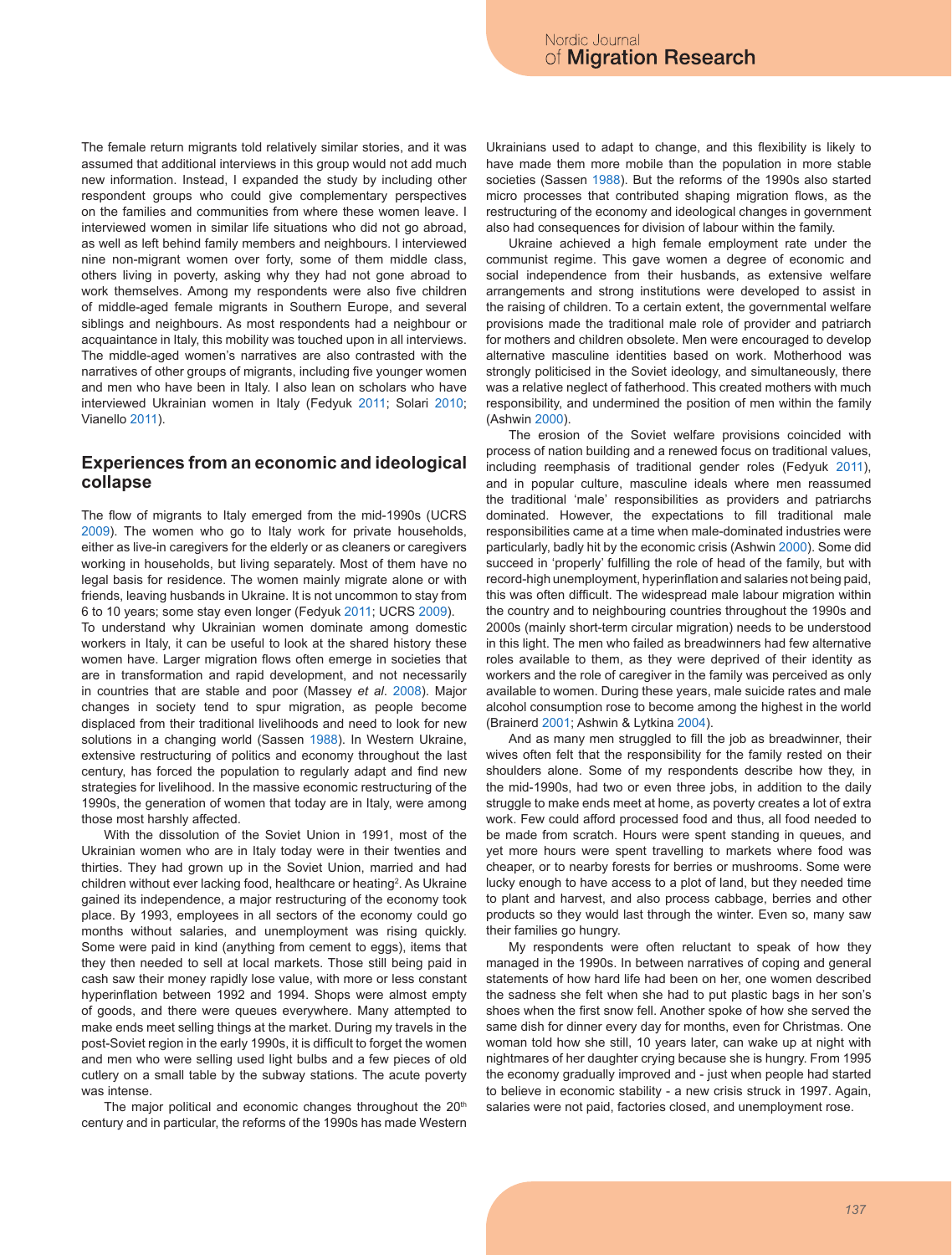The female return migrants told relatively similar stories, and it was assumed that additional interviews in this group would not add much new information. Instead, I expanded the study by including other respondent groups who could give complementary perspectives on the families and communities from where these women leave. I interviewed women in similar life situations who did not go abroad, as well as left behind family members and neighbours. I interviewed nine non-migrant women over forty, some of them middle class, others living in poverty, asking why they had not gone abroad to work themselves. Among my respondents were also five children of middle-aged female migrants in Southern Europe, and several siblings and neighbours. As most respondents had a neighbour or acquaintance in Italy, this mobility was touched upon in all interviews. The middle-aged women's narratives are also contrasted with the narratives of other groups of migrants, including five younger women and men who have been in Italy. I also lean on scholars who have interviewed Ukrainian women in Italy (Fedyuk 2011; Solari 2010; Vianello 2011).

#### **Experiences from an economic and ideological collapse**

The flow of migrants to Italy emerged from the mid-1990s (UCRS 2009). The women who go to Italy work for private households, either as live-in caregivers for the elderly or as cleaners or caregivers working in households, but living separately. Most of them have no legal basis for residence. The women mainly migrate alone or with friends, leaving husbands in Ukraine. It is not uncommon to stay from 6 to 10 years; some stay even longer (Fedyuk 2011; UCRS 2009).

To understand why Ukrainian women dominate among domestic workers in Italy, it can be useful to look at the shared history these women have. Larger migration flows often emerge in societies that are in transformation and rapid development, and not necessarily in countries that are stable and poor (Massey *et al*. 2008). Major changes in society tend to spur migration, as people become displaced from their traditional livelihoods and need to look for new solutions in a changing world (Sassen 1988). In Western Ukraine, extensive restructuring of politics and economy throughout the last century, has forced the population to regularly adapt and find new strategies for livelihood. In the massive economic restructuring of the 1990s, the generation of women that today are in Italy, were among those most harshly affected.

With the dissolution of the Soviet Union in 1991, most of the Ukrainian women who are in Italy today were in their twenties and thirties. They had grown up in the Soviet Union, married and had children without ever lacking food, healthcare or heating<sup>2</sup>. As Ukraine gained its independence, a major restructuring of the economy took place. By 1993, employees in all sectors of the economy could go months without salaries, and unemployment was rising quickly. Some were paid in kind (anything from cement to eggs), items that they then needed to sell at local markets. Those still being paid in cash saw their money rapidly lose value, with more or less constant hyperinflation between 1992 and 1994. Shops were almost empty of goods, and there were queues everywhere. Many attempted to make ends meet selling things at the market. During my travels in the post-Soviet region in the early 1990s, it is difficult to forget the women and men who were selling used light bulbs and a few pieces of old cutlery on a small table by the subway stations. The acute poverty was intense.

The major political and economic changes throughout the 20<sup>th</sup> century and in particular, the reforms of the 1990s has made Western Ukrainians used to adapt to change, and this flexibility is likely to have made them more mobile than the population in more stable societies (Sassen 1988). But the reforms of the 1990s also started micro processes that contributed shaping migration flows, as the restructuring of the economy and ideological changes in government also had consequences for division of labour within the family.

Ukraine achieved a high female employment rate under the communist regime. This gave women a degree of economic and social independence from their husbands, as extensive welfare arrangements and strong institutions were developed to assist in the raising of children. To a certain extent, the governmental welfare provisions made the traditional male role of provider and patriarch for mothers and children obsolete. Men were encouraged to develop alternative masculine identities based on work. Motherhood was strongly politicised in the Soviet ideology, and simultaneously, there was a relative neglect of fatherhood. This created mothers with much responsibility, and undermined the position of men within the family (Ashwin 2000).

The erosion of the Soviet welfare provisions coincided with process of nation building and a renewed focus on traditional values, including reemphasis of traditional gender roles (Fedyuk 2011), and in popular culture, masculine ideals where men reassumed the traditional 'male' responsibilities as providers and patriarchs dominated. However, the expectations to fill traditional male responsibilities came at a time when male-dominated industries were particularly, badly hit by the economic crisis (Ashwin 2000). Some did succeed in 'properly' fulfilling the role of head of the family, but with record-high unemployment, hyperinflation and salaries not being paid, this was often difficult. The widespread male labour migration within the country and to neighbouring countries throughout the 1990s and 2000s (mainly short-term circular migration) needs to be understood in this light. The men who failed as breadwinners had few alternative roles available to them, as they were deprived of their identity as workers and the role of caregiver in the family was perceived as only available to women. During these years, male suicide rates and male alcohol consumption rose to become among the highest in the world (Brainerd 2001; Ashwin & Lytkina 2004).

And as many men struggled to fill the job as breadwinner, their wives often felt that the responsibility for the family rested on their shoulders alone. Some of my respondents describe how they, in the mid-1990s, had two or even three jobs, in addition to the daily struggle to make ends meet at home, as poverty creates a lot of extra work. Few could afford processed food and thus, all food needed to be made from scratch. Hours were spent standing in queues, and yet more hours were spent travelling to markets where food was cheaper, or to nearby forests for berries or mushrooms. Some were lucky enough to have access to a plot of land, but they needed time to plant and harvest, and also process cabbage, berries and other products so they would last through the winter. Even so, many saw their families go hungry.

My respondents were often reluctant to speak of how they managed in the 1990s. In between narratives of coping and general statements of how hard life had been on her, one women described the sadness she felt when she had to put plastic bags in her son's shoes when the first snow fell. Another spoke of how she served the same dish for dinner every day for months, even for Christmas. One woman told how she still, 10 years later, can wake up at night with nightmares of her daughter crying because she is hungry. From 1995 the economy gradually improved and - just when people had started to believe in economic stability - a new crisis struck in 1997. Again, salaries were not paid, factories closed, and unemployment rose.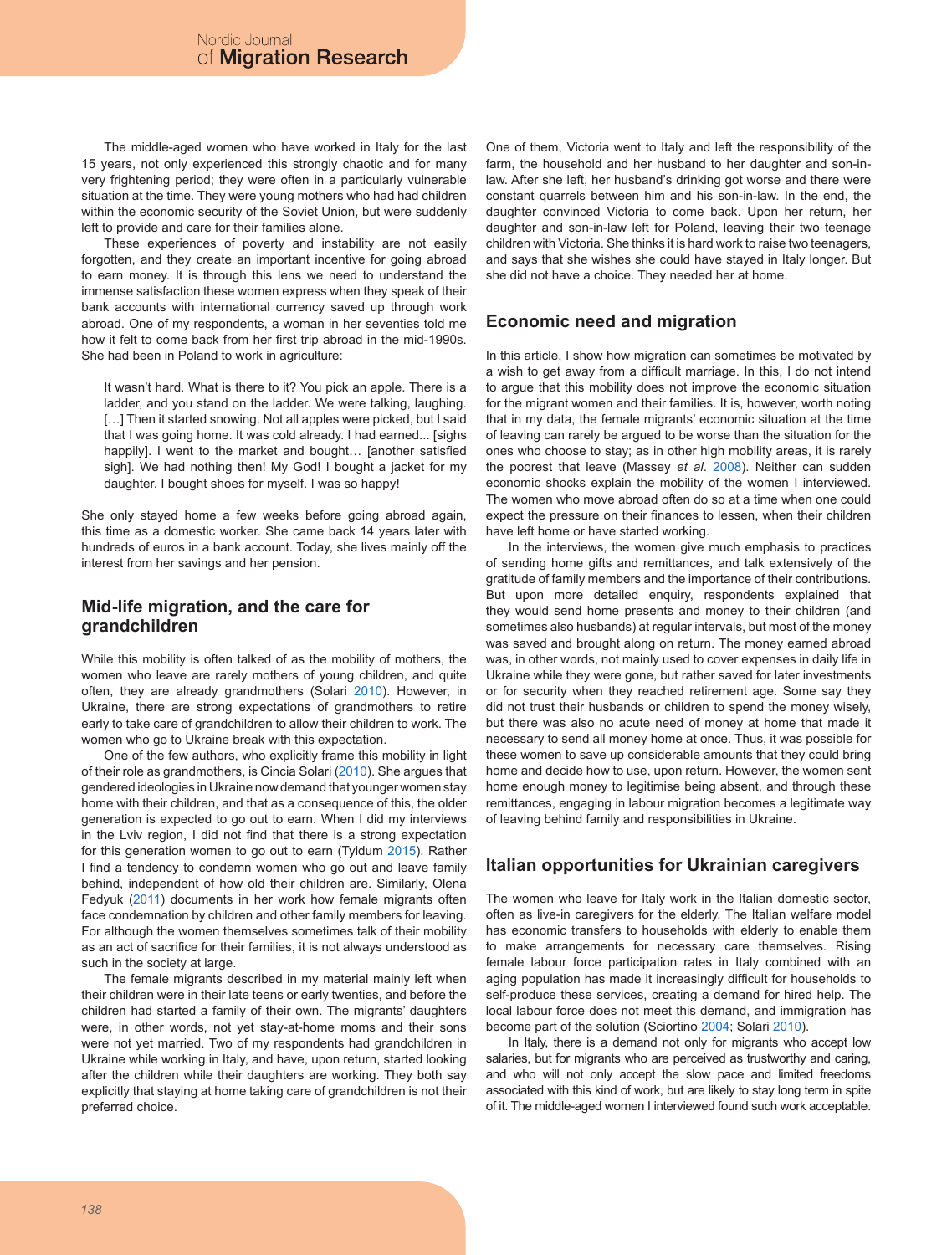The middle-aged women who have worked in Italy for the last 15 years, not only experienced this strongly chaotic and for many very frightening period; they were often in a particularly vulnerable situation at the time. They were young mothers who had had children within the economic security of the Soviet Union, but were suddenly left to provide and care for their families alone.

These experiences of poverty and instability are not easily forgotten, and they create an important incentive for going abroad to earn money. It is through this lens we need to understand the immense satisfaction these women express when they speak of their bank accounts with international currency saved up through work abroad. One of my respondents, a woman in her seventies told me how it felt to come back from her first trip abroad in the mid-1990s. She had been in Poland to work in agriculture:

It wasn't hard. What is there to it? You pick an apple. There is a ladder, and you stand on the ladder. We were talking, laughing. [...] Then it started snowing. Not all apples were picked, but I said that I was going home. It was cold already. I had earned... [sighs happily]. I went to the market and bought… [another satisfied sigh]. We had nothing then! My God! I bought a jacket for my daughter. I bought shoes for myself. I was so happy!

She only stayed home a few weeks before going abroad again, this time as a domestic worker. She came back 14 years later with hundreds of euros in a bank account. Today, she lives mainly off the interest from her savings and her pension.

## **Mid-life migration, and the care for grandchildren**

While this mobility is often talked of as the mobility of mothers, the women who leave are rarely mothers of young children, and quite often, they are already grandmothers (Solari 2010). However, in Ukraine, there are strong expectations of grandmothers to retire early to take care of grandchildren to allow their children to work. The women who go to Ukraine break with this expectation.

One of the few authors, who explicitly frame this mobility in light of their role as grandmothers, is Cincia Solari (2010). She argues that gendered ideologies in Ukraine now demand that younger women stay home with their children, and that as a consequence of this, the older generation is expected to go out to earn. When I did my interviews in the Lviv region, I did not find that there is a strong expectation for this generation women to go out to earn (Tyldum 2015). Rather I find a tendency to condemn women who go out and leave family behind, independent of how old their children are. Similarly, Olena Fedyuk (2011) documents in her work how female migrants often face condemnation by children and other family members for leaving. For although the women themselves sometimes talk of their mobility as an act of sacrifice for their families, it is not always understood as such in the society at large.

The female migrants described in my material mainly left when their children were in their late teens or early twenties, and before the children had started a family of their own. The migrants' daughters were, in other words, not yet stay-at-home moms and their sons were not yet married. Two of my respondents had grandchildren in Ukraine while working in Italy, and have, upon return, started looking after the children while their daughters are working. They both say explicitly that staying at home taking care of grandchildren is not their preferred choice.

One of them, Victoria went to Italy and left the responsibility of the farm, the household and her husband to her daughter and son-inlaw. After she left, her husband's drinking got worse and there were constant quarrels between him and his son-in-law. In the end, the daughter convinced Victoria to come back. Upon her return, her daughter and son-in-law left for Poland, leaving their two teenage children with Victoria. She thinks it is hard work to raise two teenagers, and says that she wishes she could have stayed in Italy longer. But she did not have a choice. They needed her at home.

## **Economic need and migration**

In this article, I show how migration can sometimes be motivated by a wish to get away from a difficult marriage. In this, I do not intend to argue that this mobility does not improve the economic situation for the migrant women and their families. It is, however, worth noting that in my data, the female migrants' economic situation at the time of leaving can rarely be argued to be worse than the situation for the ones who choose to stay; as in other high mobility areas, it is rarely the poorest that leave (Massey *et al*. 2008). Neither can sudden economic shocks explain the mobility of the women I interviewed. The women who move abroad often do so at a time when one could expect the pressure on their finances to lessen, when their children have left home or have started working.

In the interviews, the women give much emphasis to practices of sending home gifts and remittances, and talk extensively of the gratitude of family members and the importance of their contributions. But upon more detailed enquiry, respondents explained that they would send home presents and money to their children (and sometimes also husbands) at regular intervals, but most of the money was saved and brought along on return. The money earned abroad was, in other words, not mainly used to cover expenses in daily life in Ukraine while they were gone, but rather saved for later investments or for security when they reached retirement age. Some say they did not trust their husbands or children to spend the money wisely, but there was also no acute need of money at home that made it necessary to send all money home at once. Thus, it was possible for these women to save up considerable amounts that they could bring home and decide how to use, upon return. However, the women sent home enough money to legitimise being absent, and through these remittances, engaging in labour migration becomes a legitimate way of leaving behind family and responsibilities in Ukraine.

## **Italian opportunities for Ukrainian caregivers**

The women who leave for Italy work in the Italian domestic sector, often as live-in caregivers for the elderly. The Italian welfare model has economic transfers to households with elderly to enable them to make arrangements for necessary care themselves. Rising female labour force participation rates in Italy combined with an aging population has made it increasingly difficult for households to self-produce these services, creating a demand for hired help. The local labour force does not meet this demand, and immigration has become part of the solution (Sciortino 2004; Solari 2010).

In Italy, there is a demand not only for migrants who accept low salaries, but for migrants who are perceived as trustworthy and caring, and who will not only accept the slow pace and limited freedoms associated with this kind of work, but are likely to stay long term in spite of it. The middle-aged women I interviewed found such work acceptable.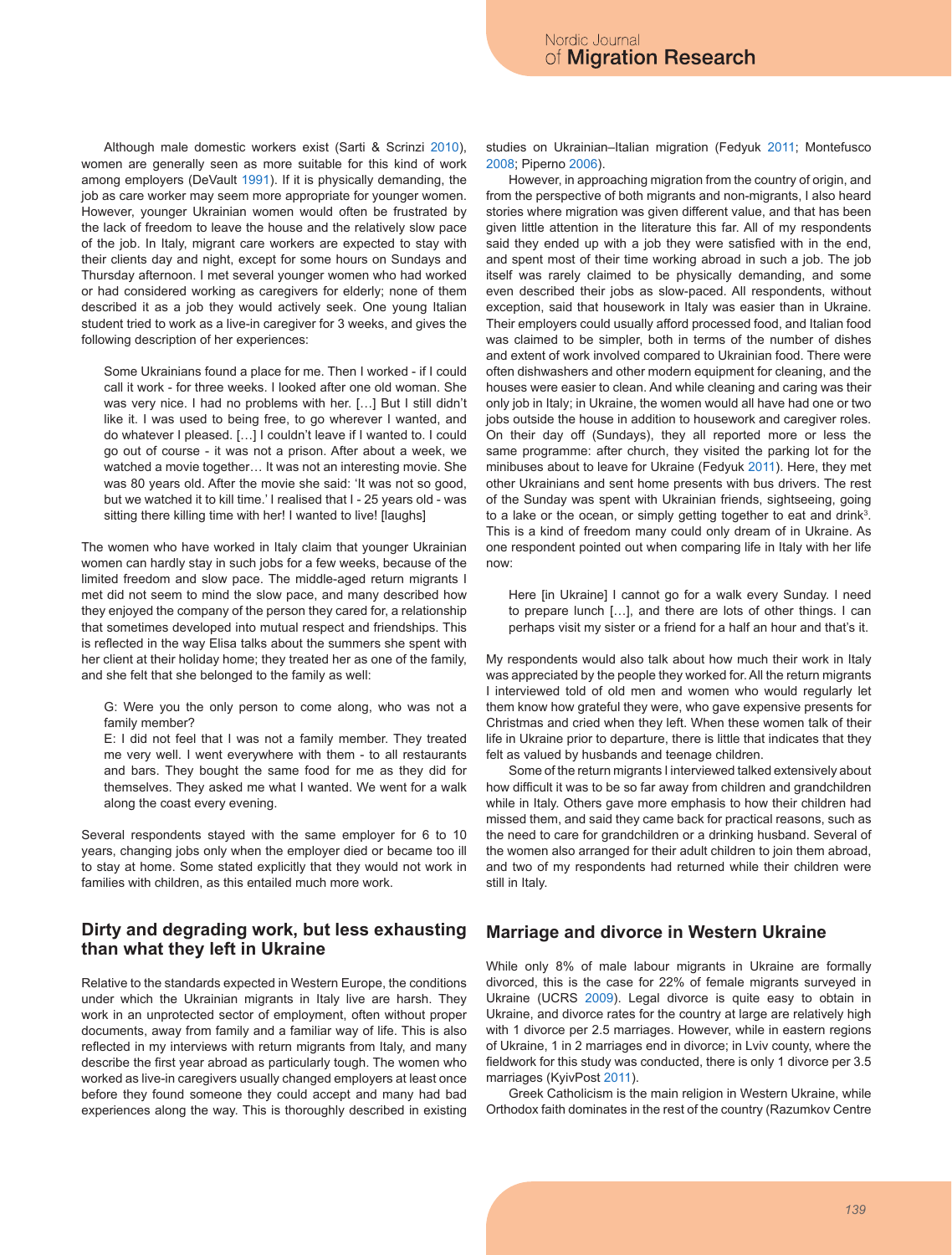Although male domestic workers exist (Sarti & Scrinzi 2010), women are generally seen as more suitable for this kind of work among employers (DeVault 1991). If it is physically demanding, the job as care worker may seem more appropriate for younger women. However, younger Ukrainian women would often be frustrated by the lack of freedom to leave the house and the relatively slow pace of the job. In Italy, migrant care workers are expected to stay with their clients day and night, except for some hours on Sundays and Thursday afternoon. I met several younger women who had worked or had considered working as caregivers for elderly; none of them described it as a job they would actively seek. One young Italian student tried to work as a live-in caregiver for 3 weeks, and gives the following description of her experiences:

Some Ukrainians found a place for me. Then I worked - if I could call it work - for three weeks. I looked after one old woman. She was very nice. I had no problems with her. […] But I still didn't like it. I was used to being free, to go wherever I wanted, and do whatever I pleased. […] I couldn't leave if I wanted to. I could go out of course - it was not a prison. After about a week, we watched a movie together… It was not an interesting movie. She was 80 years old. After the movie she said: 'It was not so good, but we watched it to kill time.' I realised that I - 25 years old - was sitting there killing time with her! I wanted to live! [laughs]

The women who have worked in Italy claim that younger Ukrainian women can hardly stay in such jobs for a few weeks, because of the limited freedom and slow pace. The middle-aged return migrants I met did not seem to mind the slow pace, and many described how they enjoyed the company of the person they cared for, a relationship that sometimes developed into mutual respect and friendships. This is reflected in the way Elisa talks about the summers she spent with her client at their holiday home; they treated her as one of the family, and she felt that she belonged to the family as well:

G: Were you the only person to come along, who was not a family member?

E: I did not feel that I was not a family member. They treated me very well. I went everywhere with them - to all restaurants and bars. They bought the same food for me as they did for themselves. They asked me what I wanted. We went for a walk along the coast every evening.

Several respondents stayed with the same employer for 6 to 10 years, changing jobs only when the employer died or became too ill to stay at home. Some stated explicitly that they would not work in families with children, as this entailed much more work.

## **Dirty and degrading work, but less exhausting than what they left in Ukraine**

Relative to the standards expected in Western Europe, the conditions under which the Ukrainian migrants in Italy live are harsh. They work in an unprotected sector of employment, often without proper documents, away from family and a familiar way of life. This is also reflected in my interviews with return migrants from Italy, and many describe the first year abroad as particularly tough. The women who worked as live-in caregivers usually changed employers at least once before they found someone they could accept and many had bad experiences along the way. This is thoroughly described in existing studies on Ukrainian–Italian migration (Fedyuk 2011; Montefusco 2008; Piperno 2006).

However, in approaching migration from the country of origin, and from the perspective of both migrants and non-migrants, I also heard stories where migration was given different value, and that has been given little attention in the literature this far. All of my respondents said they ended up with a job they were satisfied with in the end, and spent most of their time working abroad in such a job. The job itself was rarely claimed to be physically demanding, and some even described their jobs as slow-paced. All respondents, without exception, said that housework in Italy was easier than in Ukraine. Their employers could usually afford processed food, and Italian food was claimed to be simpler, both in terms of the number of dishes and extent of work involved compared to Ukrainian food. There were often dishwashers and other modern equipment for cleaning, and the houses were easier to clean. And while cleaning and caring was their only job in Italy; in Ukraine, the women would all have had one or two jobs outside the house in addition to housework and caregiver roles. On their day off (Sundays), they all reported more or less the same programme: after church, they visited the parking lot for the minibuses about to leave for Ukraine (Fedyuk 2011). Here, they met other Ukrainians and sent home presents with bus drivers. The rest of the Sunday was spent with Ukrainian friends, sightseeing, going to a lake or the ocean, or simply getting together to eat and drink<sup>3</sup>. This is a kind of freedom many could only dream of in Ukraine. As one respondent pointed out when comparing life in Italy with her life now:

Here [in Ukraine] I cannot go for a walk every Sunday. I need to prepare lunch […], and there are lots of other things. I can perhaps visit my sister or a friend for a half an hour and that's it.

My respondents would also talk about how much their work in Italy was appreciated by the people they worked for. All the return migrants I interviewed told of old men and women who would regularly let them know how grateful they were, who gave expensive presents for Christmas and cried when they left. When these women talk of their life in Ukraine prior to departure, there is little that indicates that they felt as valued by husbands and teenage children.

Some of the return migrants I interviewed talked extensively about how difficult it was to be so far away from children and grandchildren while in Italy. Others gave more emphasis to how their children had missed them, and said they came back for practical reasons, such as the need to care for grandchildren or a drinking husband. Several of the women also arranged for their adult children to join them abroad, and two of my respondents had returned while their children were still in Italy.

#### **Marriage and divorce in Western Ukraine**

While only 8% of male labour migrants in Ukraine are formally divorced, this is the case for 22% of female migrants surveyed in Ukraine (UCRS 2009). Legal divorce is quite easy to obtain in Ukraine, and divorce rates for the country at large are relatively high with 1 divorce per 2.5 marriages. However, while in eastern regions of Ukraine, 1 in 2 marriages end in divorce; in Lviv county, where the fieldwork for this study was conducted, there is only 1 divorce per 3.5 marriages (KyivPost 2011).

Greek Catholicism is the main religion in Western Ukraine, while Orthodox faith dominates in the rest of the country (Razumkov Centre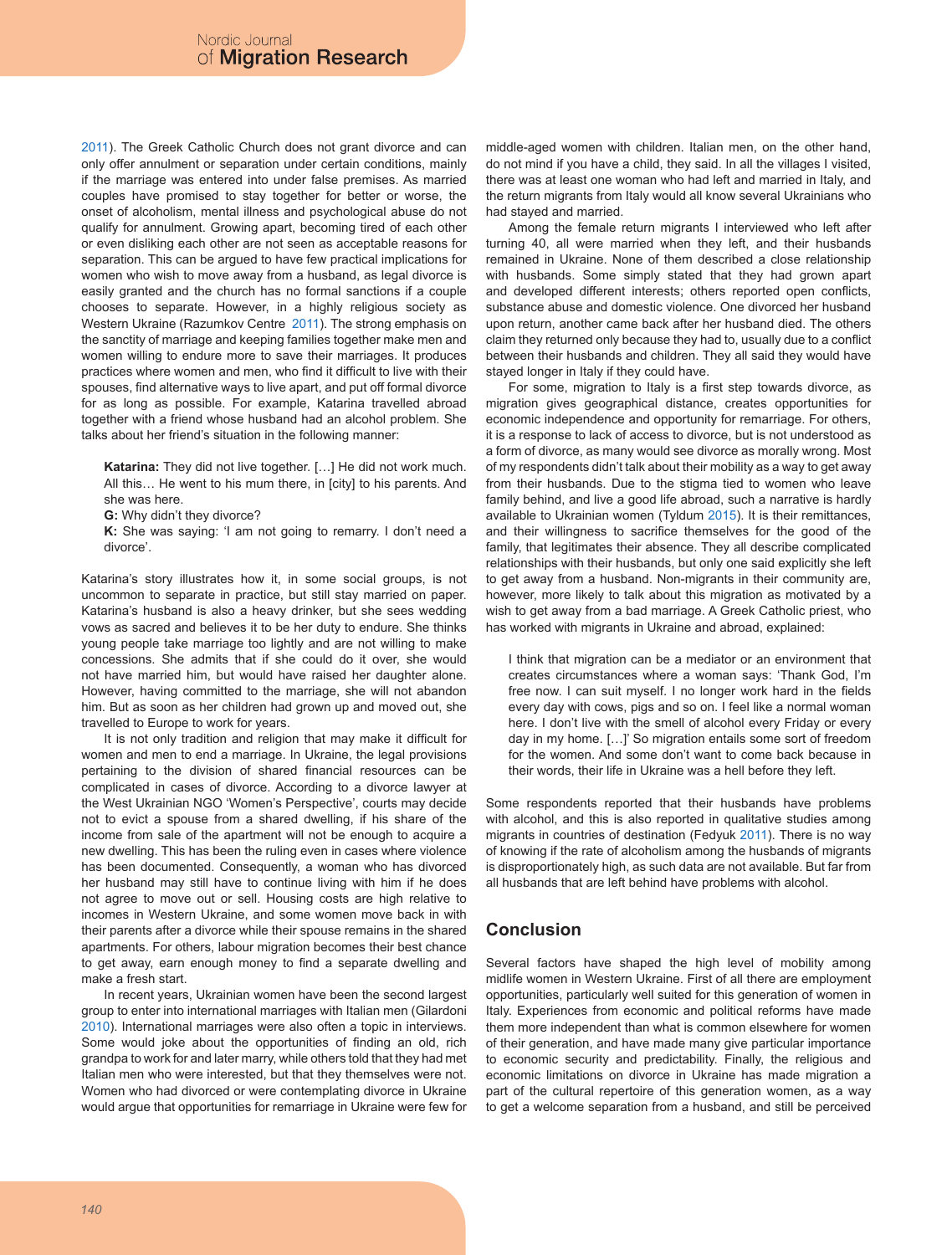2011). The Greek Catholic Church does not grant divorce and can only offer annulment or separation under certain conditions, mainly if the marriage was entered into under false premises. As married couples have promised to stay together for better or worse, the onset of alcoholism, mental illness and psychological abuse do not qualify for annulment. Growing apart, becoming tired of each other or even disliking each other are not seen as acceptable reasons for separation. This can be argued to have few practical implications for women who wish to move away from a husband, as legal divorce is easily granted and the church has no formal sanctions if a couple chooses to separate. However, in a highly religious society as Western Ukraine (Razumkov Centre 2011). The strong emphasis on the sanctity of marriage and keeping families together make men and women willing to endure more to save their marriages. It produces practices where women and men, who find it difficult to live with their spouses, find alternative ways to live apart, and put off formal divorce for as long as possible. For example, Katarina travelled abroad together with a friend whose husband had an alcohol problem. She talks about her friend's situation in the following manner:

**Katarina:** They did not live together. […] He did not work much. All this… He went to his mum there, in [city] to his parents. And she was here.

**G:** Why didn't they divorce?

**K:** She was saying: 'I am not going to remarry. I don't need a divorce'.

Katarina's story illustrates how it, in some social groups, is not uncommon to separate in practice, but still stay married on paper. Katarina's husband is also a heavy drinker, but she sees wedding vows as sacred and believes it to be her duty to endure. She thinks young people take marriage too lightly and are not willing to make concessions. She admits that if she could do it over, she would not have married him, but would have raised her daughter alone. However, having committed to the marriage, she will not abandon him. But as soon as her children had grown up and moved out, she travelled to Europe to work for years.

It is not only tradition and religion that may make it difficult for women and men to end a marriage. In Ukraine, the legal provisions pertaining to the division of shared financial resources can be complicated in cases of divorce. According to a divorce lawyer at the West Ukrainian NGO 'Women's Perspective', courts may decide not to evict a spouse from a shared dwelling, if his share of the income from sale of the apartment will not be enough to acquire a new dwelling. This has been the ruling even in cases where violence has been documented. Consequently, a woman who has divorced her husband may still have to continue living with him if he does not agree to move out or sell. Housing costs are high relative to incomes in Western Ukraine, and some women move back in with their parents after a divorce while their spouse remains in the shared apartments. For others, labour migration becomes their best chance to get away, earn enough money to find a separate dwelling and make a fresh start.

In recent years, Ukrainian women have been the second largest group to enter into international marriages with Italian men (Gilardoni 2010). International marriages were also often a topic in interviews. Some would joke about the opportunities of finding an old, rich grandpa to work for and later marry, while others told that they had met Italian men who were interested, but that they themselves were not. Women who had divorced or were contemplating divorce in Ukraine would argue that opportunities for remarriage in Ukraine were few for

middle-aged women with children. Italian men, on the other hand, do not mind if you have a child, they said. In all the villages I visited, there was at least one woman who had left and married in Italy, and the return migrants from Italy would all know several Ukrainians who had stayed and married.

Among the female return migrants I interviewed who left after turning 40, all were married when they left, and their husbands remained in Ukraine. None of them described a close relationship with husbands. Some simply stated that they had grown apart and developed different interests; others reported open conflicts, substance abuse and domestic violence. One divorced her husband upon return, another came back after her husband died. The others claim they returned only because they had to, usually due to a conflict between their husbands and children. They all said they would have stayed longer in Italy if they could have.

For some, migration to Italy is a first step towards divorce, as migration gives geographical distance, creates opportunities for economic independence and opportunity for remarriage. For others, it is a response to lack of access to divorce, but is not understood as a form of divorce, as many would see divorce as morally wrong. Most of my respondents didn't talk about their mobility as a way to get away from their husbands. Due to the stigma tied to women who leave family behind, and live a good life abroad, such a narrative is hardly available to Ukrainian women (Tyldum 2015). It is their remittances, and their willingness to sacrifice themselves for the good of the family, that legitimates their absence. They all describe complicated relationships with their husbands, but only one said explicitly she left to get away from a husband. Non-migrants in their community are, however, more likely to talk about this migration as motivated by a wish to get away from a bad marriage. A Greek Catholic priest, who has worked with migrants in Ukraine and abroad, explained:

I think that migration can be a mediator or an environment that creates circumstances where a woman says: 'Thank God, I'm free now. I can suit myself. I no longer work hard in the fields every day with cows, pigs and so on. I feel like a normal woman here. I don't live with the smell of alcohol every Friday or every day in my home. […]' So migration entails some sort of freedom for the women. And some don't want to come back because in their words, their life in Ukraine was a hell before they left.

Some respondents reported that their husbands have problems with alcohol, and this is also reported in qualitative studies among migrants in countries of destination (Fedyuk 2011). There is no way of knowing if the rate of alcoholism among the husbands of migrants is disproportionately high, as such data are not available. But far from all husbands that are left behind have problems with alcohol.

## **Conclusion**

Several factors have shaped the high level of mobility among midlife women in Western Ukraine. First of all there are employment opportunities, particularly well suited for this generation of women in Italy. Experiences from economic and political reforms have made them more independent than what is common elsewhere for women of their generation, and have made many give particular importance to economic security and predictability. Finally, the religious and economic limitations on divorce in Ukraine has made migration a part of the cultural repertoire of this generation women, as a way to get a welcome separation from a husband, and still be perceived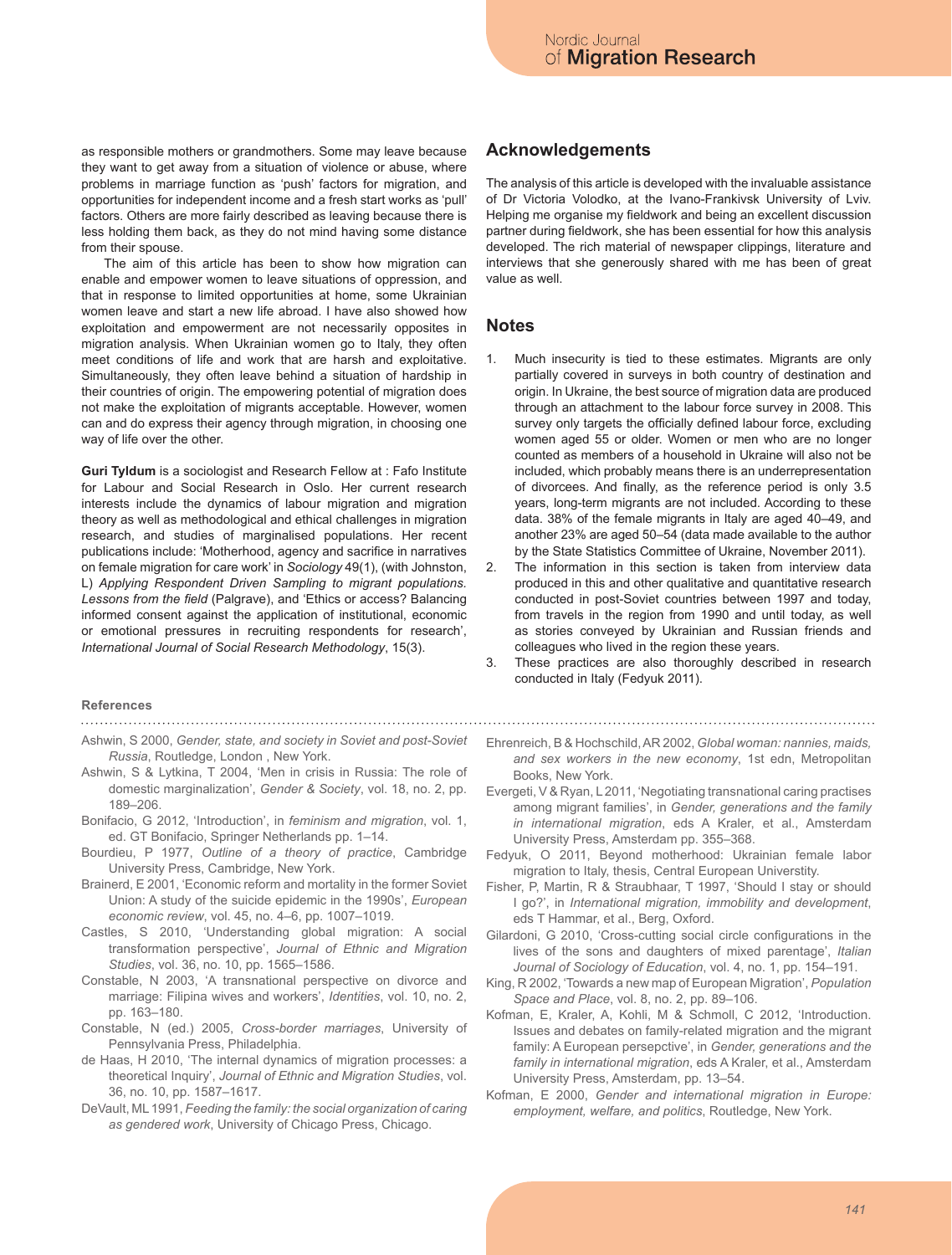as responsible mothers or grandmothers. Some may leave because they want to get away from a situation of violence or abuse, where problems in marriage function as 'push' factors for migration, and opportunities for independent income and a fresh start works as 'pull' factors. Others are more fairly described as leaving because there is less holding them back, as they do not mind having some distance from their spouse.

The aim of this article has been to show how migration can enable and empower women to leave situations of oppression, and that in response to limited opportunities at home, some Ukrainian women leave and start a new life abroad. I have also showed how exploitation and empowerment are not necessarily opposites in migration analysis. When Ukrainian women go to Italy, they often meet conditions of life and work that are harsh and exploitative. Simultaneously, they often leave behind a situation of hardship in their countries of origin. The empowering potential of migration does not make the exploitation of migrants acceptable. However, women can and do express their agency through migration, in choosing one way of life over the other.

**Guri Tyldum** is a sociologist and Research Fellow at : Fafo Institute for Labour and Social Research in Oslo. Her current research interests include the dynamics of labour migration and migration theory as well as methodological and ethical challenges in migration research, and studies of marginalised populations. Her recent publications include: 'Motherhood, agency and sacrifice in narratives on female migration for care work' in *Sociology* 49(1), (with Johnston, L) *Applying Respondent Driven Sampling to migrant populations. Lessons from the field* (Palgrave), and 'Ethics or access? Balancing informed consent against the application of institutional, economic or emotional pressures in recruiting respondents for research', *International Journal of Social Research Methodology*, 15(3).

#### **Acknowledgements**

The analysis of this article is developed with the invaluable assistance of Dr Victoria Volodko, at the Ivano-Frankivsk University of Lviv. Helping me organise my fieldwork and being an excellent discussion partner during fieldwork, she has been essential for how this analysis developed. The rich material of newspaper clippings, literature and interviews that she generously shared with me has been of great value as well.

## **Notes**

- 1. Much insecurity is tied to these estimates. Migrants are only partially covered in surveys in both country of destination and origin. In Ukraine, the best source of migration data are produced through an attachment to the labour force survey in 2008. This survey only targets the officially defined labour force, excluding women aged 55 or older. Women or men who are no longer counted as members of a household in Ukraine will also not be included, which probably means there is an underrepresentation of divorcees. And finally, as the reference period is only 3.5 years, long-term migrants are not included. According to these data. 38% of the female migrants in Italy are aged 40–49, and another 23% are aged 50–54 (data made available to the author by the State Statistics Committee of Ukraine, November 2011).
- 2. The information in this section is taken from interview data produced in this and other qualitative and quantitative research conducted in post-Soviet countries between 1997 and today, from travels in the region from 1990 and until today, as well as stories conveyed by Ukrainian and Russian friends and colleagues who lived in the region these years.
- 3. These practices are also thoroughly described in research conducted in Italy (Fedyuk 2011).

#### **References**

- Ashwin, S 2000, *Gender, state, and society in Soviet and post-Soviet Russia*, Routledge, London , New York.
- Ashwin, S & Lytkina, T 2004, 'Men in crisis in Russia: The role of domestic marginalization', *Gender & Society*, vol. 18, no. 2, pp. 189–206.
- Bonifacio, G 2012, 'Introduction', in *feminism and migration*, vol. 1, ed. GT Bonifacio, Springer Netherlands pp. 1–14.
- Bourdieu, P 1977, *Outline of a theory of practice*, Cambridge University Press, Cambridge, New York.
- Brainerd, E 2001, 'Economic reform and mortality in the former Soviet Union: A study of the suicide epidemic in the 1990s', *European economic review*, vol. 45, no. 4–6, pp. 1007–1019.
- Castles, S 2010, 'Understanding global migration: A social transformation perspective', *Journal of Ethnic and Migration Studies*, vol. 36, no. 10, pp. 1565–1586.
- Constable, N 2003, 'A transnational perspective on divorce and marriage: Filipina wives and workers', *Identities*, vol. 10, no. 2, pp. 163–180.
- Constable, N (ed.) 2005, *Cross-border marriages*, University of Pennsylvania Press, Philadelphia.
- de Haas, H 2010, 'The internal dynamics of migration processes: a theoretical Inquiry', *Journal of Ethnic and Migration Studies*, vol. 36, no. 10, pp. 1587–1617.
- DeVault, ML 1991, *Feeding the family: the social organization of caring as gendered work*, University of Chicago Press, Chicago.
- Ehrenreich, B & Hochschild, AR 2002, *Global woman: nannies, maids, and sex workers in the new economy*, 1st edn, Metropolitan Books, New York.
- Evergeti, V & Ryan, L 2011, 'Negotiating transnational caring practises among migrant families', in *Gender, generations and the family in international migration*, eds A Kraler, et al., Amsterdam University Press, Amsterdam pp. 355–368.
- Fedyuk, O 2011, Beyond motherhood: Ukrainian female labor migration to Italy, thesis, Central European Universtity.
- Fisher, P, Martin, R & Straubhaar, T 1997, 'Should I stay or should I go?', in *International migration, immobility and development*, eds T Hammar, et al., Berg, Oxford.
- Gilardoni, G 2010, 'Cross-cutting social circle configurations in the lives of the sons and daughters of mixed parentage', *Italian Journal of Sociology of Education*, vol. 4, no. 1, pp. 154–191.
- King, R 2002, 'Towards a new map of European Migration', *Population Space and Place*, vol. 8, no. 2, pp. 89–106.
- Kofman, E, Kraler, A, Kohli, M & Schmoll, C 2012, 'Introduction. Issues and debates on family-related migration and the migrant family: A European persepctive', in *Gender, generations and the family in international migration*, eds A Kraler, et al., Amsterdam University Press, Amsterdam, pp. 13–54.
- Kofman, E 2000, *Gender and international migration in Europe: employment, welfare, and politics*, Routledge, New York.